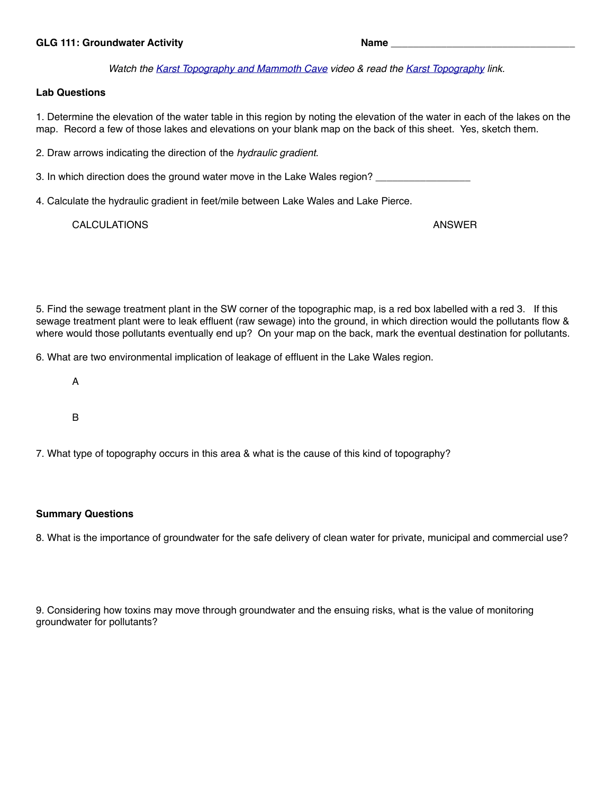## GLG 111: Groundwater Activity **Name and Activity** and Activity **Name** and Activity **Name**

*Watch the [Karst Topography and Mammoth Cave](https://az.pbslearningmedia.org/resource/ket09.sci.ess.structure.karst/karst-topography-and-mammoth-cave/) video & read the [Karst Topography](https://en.wikipedia.org/wiki/Karst) link.*

## **Lab Questions**

1. Determine the elevation of the water table in this region by noting the elevation of the water in each of the lakes on the map. Record a few of those lakes and elevations on your blank map on the back of this sheet. Yes, sketch them.

2. Draw arrows indicating the direction of the *hydraulic gradient*.

3. In which direction does the ground water move in the Lake Wales region? \_\_\_\_\_\_\_\_\_\_\_\_\_

4. Calculate the hydraulic gradient in feet/mile between Lake Wales and Lake Pierce.

CALCULATIONS ANSWER

5. Find the sewage treatment plant in the SW corner of the topographic map, is a red box labelled with a red 3. If this sewage treatment plant were to leak effluent (raw sewage) into the ground, in which direction would the pollutants flow & where would those pollutants eventually end up? On your map on the back, mark the eventual destination for pollutants.

6. What are two environmental implication of leakage of effluent in the Lake Wales region.

- A
- B

7. What type of topography occurs in this area & what is the cause of this kind of topography?

## **Summary Questions**

8. What is the importance of groundwater for the safe delivery of clean water for private, municipal and commercial use?

9. Considering how toxins may move through groundwater and the ensuing risks, what is the value of monitoring groundwater for pollutants?